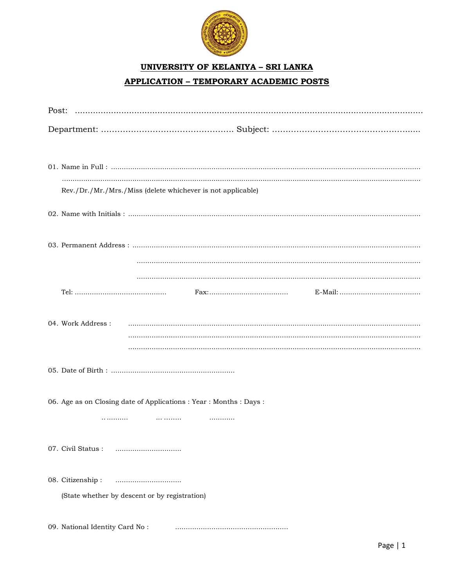

## **UNIVERSITY OF KELANIYA - SRI LANKA APPLICATION - TEMPORARY ACADEMIC POSTS**

| Rev./Dr./Mr./Mrs./Miss (delete whichever is not applicable)     |
|-----------------------------------------------------------------|
|                                                                 |
|                                                                 |
|                                                                 |
|                                                                 |
|                                                                 |
| 04. Work Address:                                               |
|                                                                 |
|                                                                 |
| 06. Age as on Closing date of Applications: Year: Months: Days: |
| .                                                               |
|                                                                 |
| 08. Citizenship:                                                |
| (State whether by descent or by registration)                   |
|                                                                 |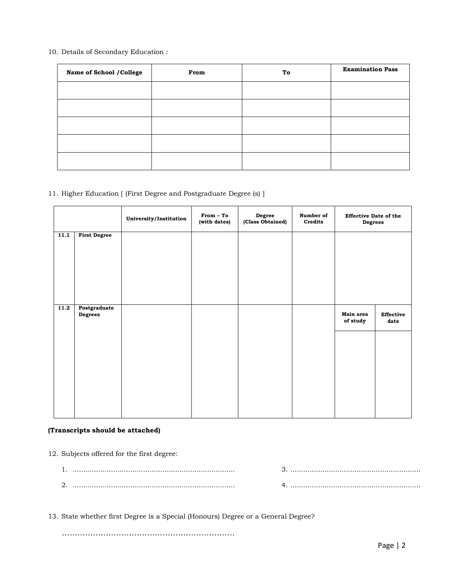10. Details of Secondary Education :

| Name of School / College | From | To | <b>Examination Pass</b> |
|--------------------------|------|----|-------------------------|
|                          |      |    |                         |
|                          |      |    |                         |
|                          |      |    |                         |
|                          |      |    |                         |
|                          |      |    |                         |

11. Higher Education [ (First Degree and Postgraduate Degree (s) ]

|      |                         | University/Institution | From - To<br>(with dates) | Degree<br>(Class Obtained) | Number of<br>Credits | <b>Effective Date of the</b><br><b>Degrees</b> |                   |
|------|-------------------------|------------------------|---------------------------|----------------------------|----------------------|------------------------------------------------|-------------------|
| 11.1 | <b>First Degree</b>     |                        |                           |                            |                      |                                                |                   |
| 11.2 | Postgraduate<br>Degrees |                        |                           |                            |                      | Main area<br>of study                          | Effective<br>date |

## **(Transcripts should be attached)**

12. Subjects offered for the first degree:

| ـ ت |  |
|-----|--|

13. State whether first Degree is a Special (Honours) Degree or a General Degree?

...................................................................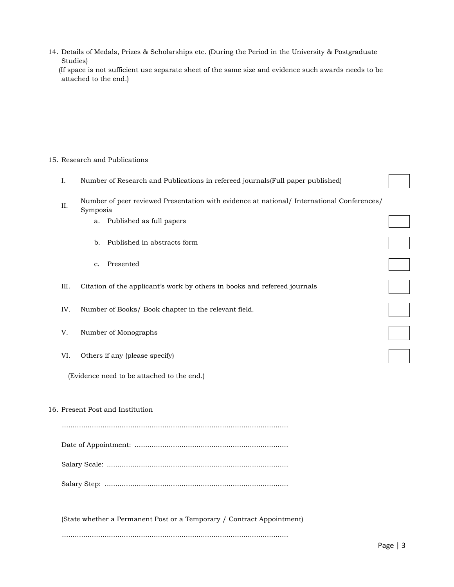| 14. Details of Medals, Prizes & Scholarships etc. (During the Period in the University & Postgraduate |  |  |
|-------------------------------------------------------------------------------------------------------|--|--|
| Studies)                                                                                              |  |  |

 (If space is not sufficient use separate sheet of the same size and evidence such awards needs to be attached to the end.)

## 15. Research and Publications

|  |  |  | Number of Research and Publications in refereed journals (Full paper published) |
|--|--|--|---------------------------------------------------------------------------------|
|  |  |  |                                                                                 |

- II. Number of peer reviewed Presentation with evidence at national/ International Conferences/ Symposia
	- a. Published as full papers
	- b. Published in abstracts form
	- c. Presented
- III. Citation of the applicant's work by others in books and refereed journals
- IV. Number of Books/ Book chapter in the relevant field.
- V. Number of Monographs
- VI. Others if any (please specify)

(Evidence need to be attached to the end.)

## 16. Present Post and Institution

.......................................................................................................... Date of Appointment: ........................................................................ Salary Scale: ..................................................................................... Salary Step: ......................................................................................

(State whether a Permanent Post or a Temporary / Contract Appointment) ..........................................................................................................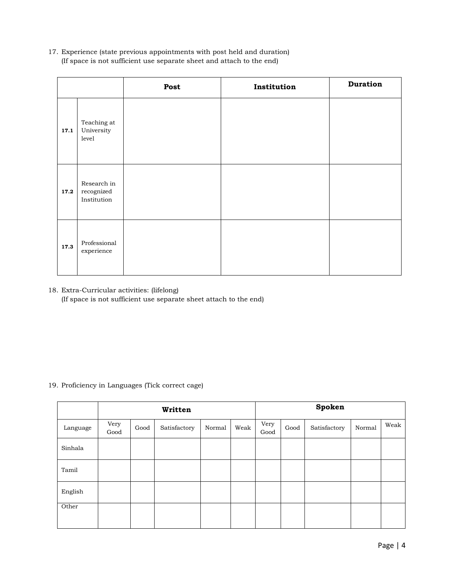17. Experience (state previous appointments with post held and duration) (If space is not sufficient use separate sheet and attach to the end)

|      |                                          | Post | Institution | <b>Duration</b> |
|------|------------------------------------------|------|-------------|-----------------|
| 17.1 | Teaching at<br>University<br>level       |      |             |                 |
| 17.2 | Research in<br>recognized<br>Institution |      |             |                 |
| 17.3 | Professional<br>experience               |      |             |                 |

18. Extra-Curricular activities: (lifelong) (If space is not sufficient use separate sheet attach to the end)

19. Proficiency in Languages (Tick correct cage)

|          | Written      |      |              |        |      |              | Spoken |              |        |      |
|----------|--------------|------|--------------|--------|------|--------------|--------|--------------|--------|------|
| Language | Very<br>Good | Good | Satisfactory | Normal | Weak | Very<br>Good | Good   | Satisfactory | Normal | Weak |
| Sinhala  |              |      |              |        |      |              |        |              |        |      |
| Tamil    |              |      |              |        |      |              |        |              |        |      |
| English  |              |      |              |        |      |              |        |              |        |      |
| Other    |              |      |              |        |      |              |        |              |        |      |